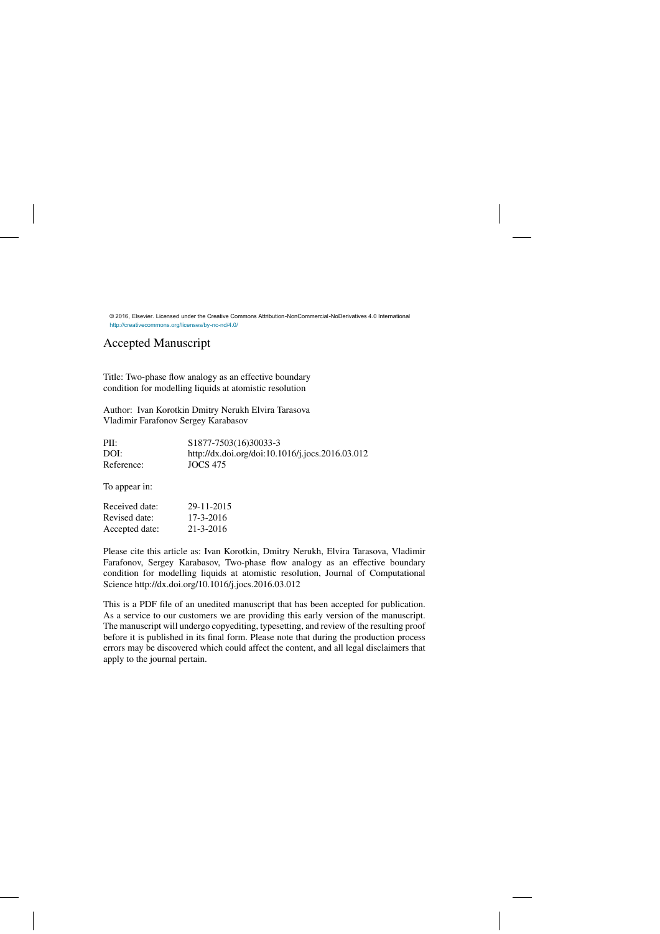© 2016, Elsevier. Licensed under the Creative Commons Attribution-NonCommercial-NoDerivatives 4.0 International http://creativecommons.org/licenses/by-nc-nd/4.0/

## Accepted Manuscript

Title: Two-phase flow analogy as an effective boundary condition for modelling liquids at atomistic resolution

Author: Ivan Korotkin Dmitry Nerukh Elvira Tarasova Vladimir Farafonov Sergey Karabasov

| PII:       | S1877-7503(16)30033-3                            |
|------------|--------------------------------------------------|
| DOI:       | http://dx.doi.org/doi:10.1016/j.jocs.2016.03.012 |
| Reference: | JOCS 475                                         |

To appear in:

| Received date: | 29-11-2015      |
|----------------|-----------------|
| Revised date:  | $17 - 3 - 2016$ |
| Accepted date: | 21-3-2016       |

Please cite this article as: Ivan Korotkin, Dmitry Nerukh, Elvira Tarasova, Vladimir Farafonov, Sergey Karabasov, Two-phase flow analogy as an effective boundary condition for modelling liquids at atomistic resolution, Journal of Computational Science<http://dx.doi.org/10.1016/j.jocs.2016.03.012>

This is a PDF file of an unedited manuscript that has been accepted for publication. As a service to our customers we are providing this early version of the manuscript. The manuscript will undergo copyediting, typesetting, and review of the resulting proof before it is published in its final form. Please note that during the production process errors may be discovered which could affect the content, and all legal disclaimers that apply to the journal pertain.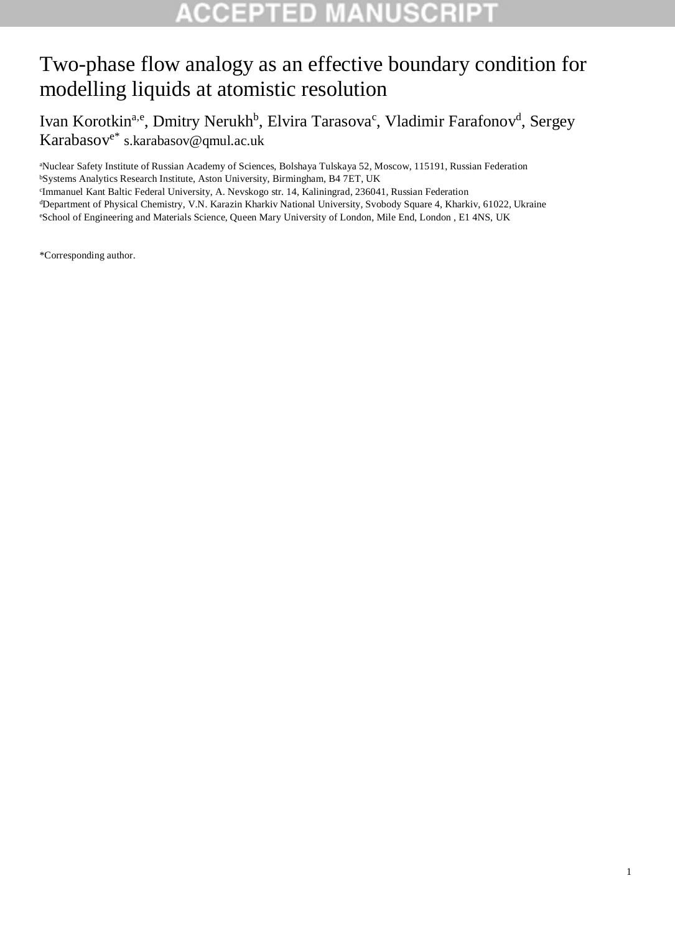# **ACCEPTED MANUSCRIP**

## Two-phase flow analogy as an effective boundary condition for modelling liquids at atomistic resolution

Ivan Korotkin<sup>a,e</sup>, Dmitry Nerukh<sup>b</sup>, Elvira Tarasova<sup>c</sup>, Vladimir Farafonov<sup>d</sup>, Sergey Karabasove\* s.karabasov@qmul.ac.uk

<sup>a</sup>Nuclear Safety Institute of Russian Academy of Sciences, Bolshaya Tulskaya 52, Moscow, 115191, Russian Federation <sup>b</sup>Systems Analytics Research Institute, Aston University, Birmingham, B4 7ET, UK c Immanuel Kant Baltic Federal University, A. Nevskogo str. 14, Kaliningrad, 236041, Russian Federation <sup>d</sup>Department of Physical Chemistry, V.N. Karazin Kharkiv National University, Svobody Square 4, Kharkiv, 61022, Ukraine <sup>e</sup>School of Engineering and Materials Science, Queen Mary University of London, Mile End, London , E1 4NS, UK

\*Corresponding author.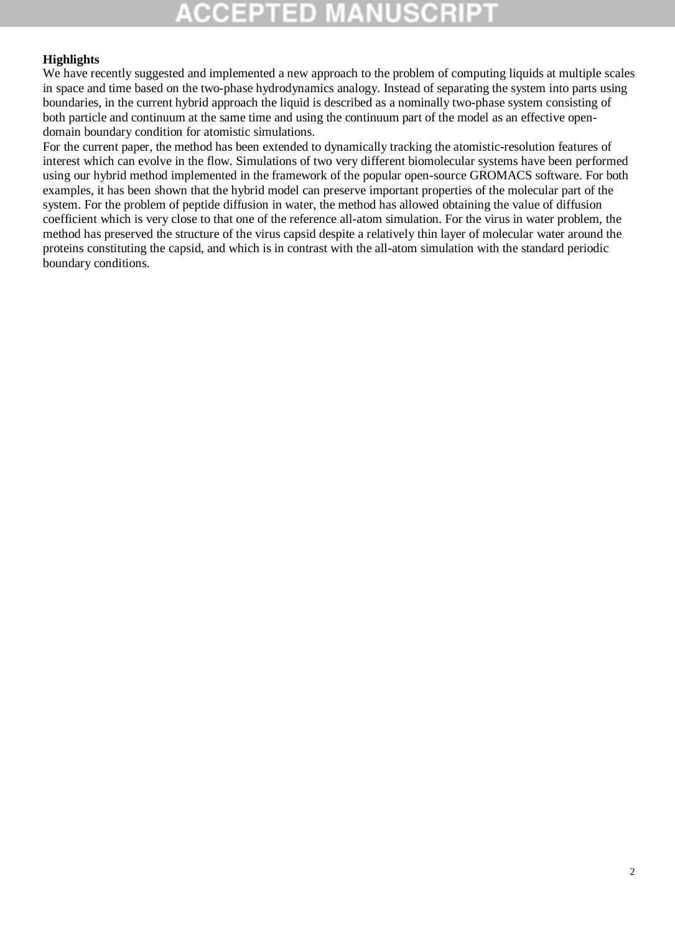## 3 D

## **Highlights**

We have recently suggested and implemented a new approach to the problem of computing liquids at multiple scales in space and time based on the two-phase hydrodynamics analogy. Instead of separating the system into parts using boundaries, in the current hybrid approach the liquid is described as a nominally two-phase system consisting of both particle and continuum at the same time and using the continuum part of the model as an effective opendomain boundary condition for atomistic simulations.

For the current paper, the method has been extended to dynamically tracking the atomistic-resolution features of interest which can evolve in the flow. Simulations of two very different biomolecular systems have been performed using our hybrid method implemented in the framework of the popular open-source GROMACS software. For both examples, it has been shown that the hybrid model can preserve important properties of the molecular part of the system. For the problem of peptide diffusion in water, the method has allowed obtaining the value of diffusion coefficient which is very close to that one of the reference all-atom simulation. For the virus in water problem, the method has preserved the structure of the virus capsid despite a relatively thin layer of molecular water around the proteins constituting the capsid, and which is in contrast with the all-atom simulation with the standard periodic boundary conditions.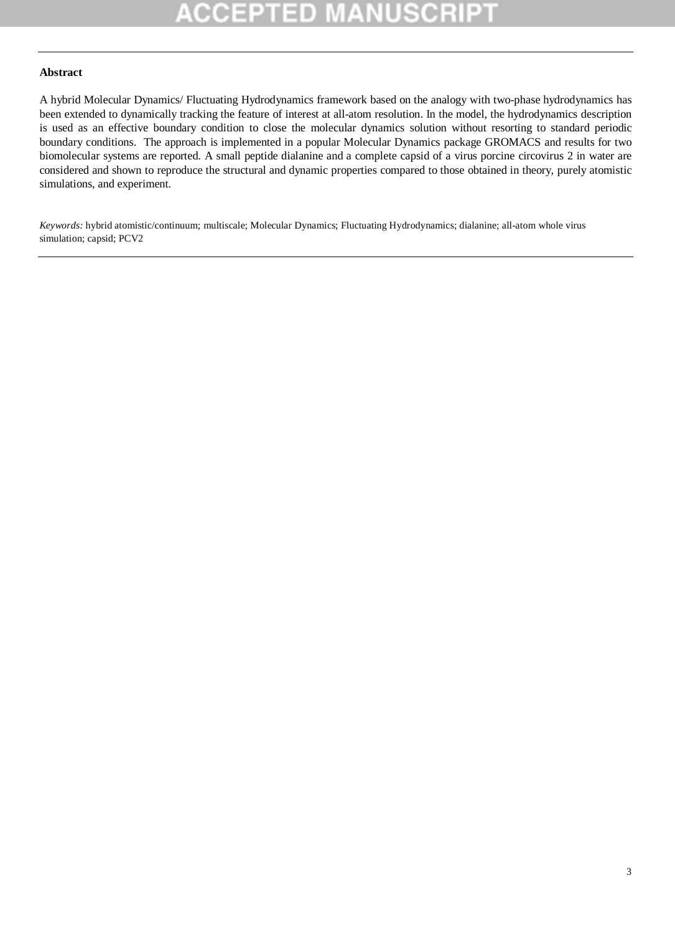### **Abstract**

A hybrid Molecular Dynamics/ Fluctuating Hydrodynamics framework based on the analogy with two-phase hydrodynamics has been extended to dynamically tracking the feature of interest at all-atom resolution. In the model, the hydrodynamics description is used as an effective boundary condition to close the molecular dynamics solution without resorting to standard periodic boundary conditions. The approach is implemented in a popular Molecular Dynamics package GROMACS and results for two biomolecular systems are reported. A small peptide dialanine and a complete capsid of a virus porcine circovirus 2 in water are considered and shown to reproduce the structural and dynamic properties compared to those obtained in theory, purely atomistic simulations, and experiment.

*Keywords:* hybrid atomistic/continuum; multiscale; Molecular Dynamics; Fluctuating Hydrodynamics; dialanine; all-atom whole virus simulation; capsid; PCV2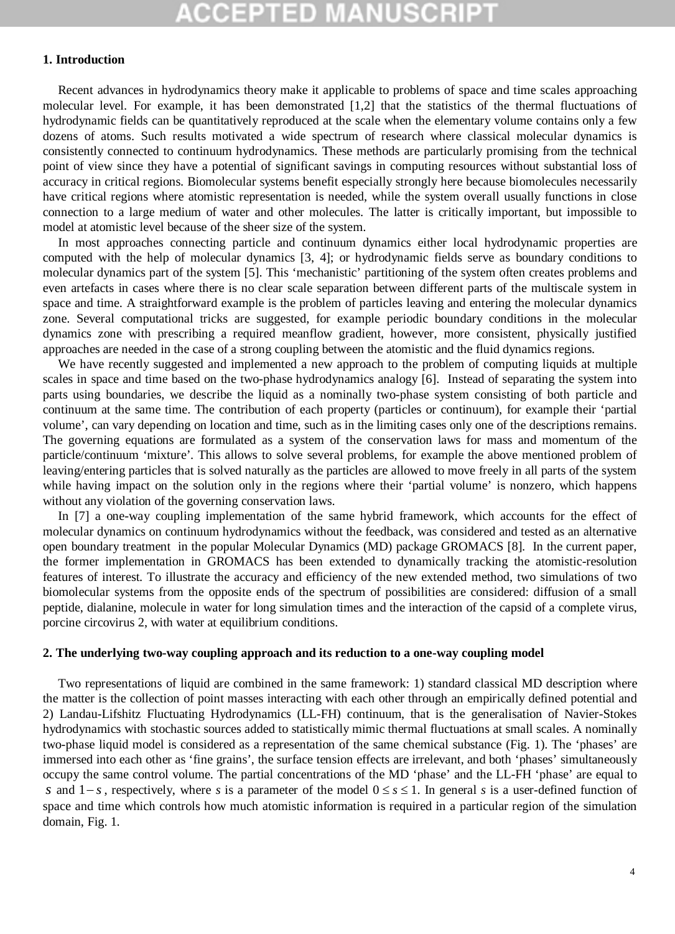## **CCEPTED MANUSCRIP**

### **1. Introduction**

Recent advances in hydrodynamics theory make it applicable to problems of space and time scales approaching molecular level. For example, it has been demonstrated [1,2] that the statistics of the thermal fluctuations of hydrodynamic fields can be quantitatively reproduced at the scale when the elementary volume contains only a few dozens of atoms. Such results motivated a wide spectrum of research where classical molecular dynamics is consistently connected to continuum hydrodynamics. These methods are particularly promising from the technical point of view since they have a potential of significant savings in computing resources without substantial loss of accuracy in critical regions. Biomolecular systems benefit especially strongly here because biomolecules necessarily have critical regions where atomistic representation is needed, while the system overall usually functions in close connection to a large medium of water and other molecules. The latter is critically important, but impossible to model at atomistic level because of the sheer size of the system.

In most approaches connecting particle and continuum dynamics either local hydrodynamic properties are computed with the help of molecular dynamics [3, 4]; or hydrodynamic fields serve as boundary conditions to molecular dynamics part of the system [5]. This 'mechanistic' partitioning of the system often creates problems and even artefacts in cases where there is no clear scale separation between different parts of the multiscale system in space and time. A straightforward example is the problem of particles leaving and entering the molecular dynamics zone. Several computational tricks are suggested, for example periodic boundary conditions in the molecular dynamics zone with prescribing a required meanflow gradient, however, more consistent, physically justified approaches are needed in the case of a strong coupling between the atomistic and the fluid dynamics regions.

We have recently suggested and implemented a new approach to the problem of computing liquids at multiple scales in space and time based on the two-phase hydrodynamics analogy [6]. Instead of separating the system into parts using boundaries, we describe the liquid as a nominally two-phase system consisting of both particle and continuum at the same time. The contribution of each property (particles or continuum), for example their 'partial volume', can vary depending on location and time, such as in the limiting cases only one of the descriptions remains. The governing equations are formulated as a system of the conservation laws for mass and momentum of the particle/continuum 'mixture'. This allows to solve several problems, for example the above mentioned problem of leaving/entering particles that is solved naturally as the particles are allowed to move freely in all parts of the system while having impact on the solution only in the regions where their 'partial volume' is nonzero, which happens without any violation of the governing conservation laws.

In [7] a one-way coupling implementation of the same hybrid framework, which accounts for the effect of molecular dynamics on continuum hydrodynamics without the feedback, was considered and tested as an alternative open boundary treatment in the popular Molecular Dynamics (MD) package GROMACS [8]. In the current paper, the former implementation in GROMACS has been extended to dynamically tracking the atomistic-resolution features of interest. To illustrate the accuracy and efficiency of the new extended method, two simulations of two biomolecular systems from the opposite ends of the spectrum of possibilities are considered: diffusion of a small peptide, dialanine, molecule in water for long simulation times and the interaction of the capsid of a complete virus, porcine circovirus 2, with water at equilibrium conditions.

### **2. The underlying two-way coupling approach and its reduction to a one-way coupling model**

Two representations of liquid are combined in the same framework: 1) standard classical MD description where the matter is the collection of point masses interacting with each other through an empirically defined potential and 2) Landau-Lifshitz Fluctuating Hydrodynamics (LL-FH) continuum, that is the generalisation of Navier-Stokes hydrodynamics with stochastic sources added to statistically mimic thermal fluctuations at small scales. A nominally two-phase liquid model is considered as a representation of the same chemical substance (Fig. 1). The 'phases' are immersed into each other as 'fine grains', the surface tension effects are irrelevant, and both 'phases' simultaneously occupy the same control volume. The partial concentrations of the MD 'phase' and the LL-FH 'phase' are equal to *s* and  $1-s$ , respectively, where *s* is a parameter of the model  $0 \le s \le 1$ . In general *s* is a user-defined function of space and time which controls how much atomistic information is required in a particular region of the simulation domain, Fig. 1.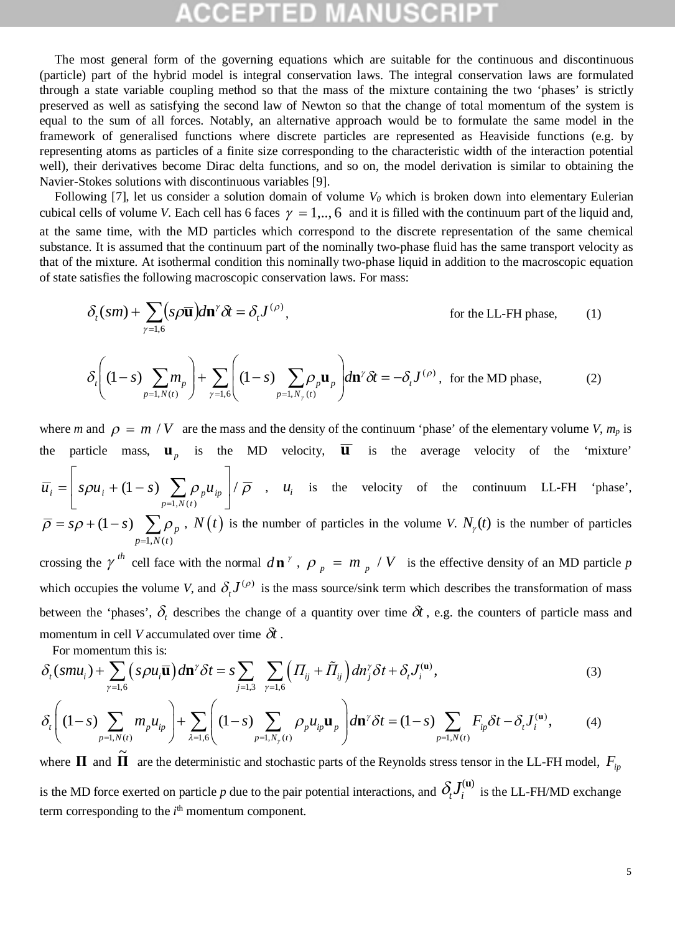#### **MANUSCRI** ED)

The most general form of the governing equations which are suitable for the continuous and discontinuous (particle) part of the hybrid model is integral conservation laws. The integral conservation laws are formulated through a state variable coupling method so that the mass of the mixture containing the two 'phases' is strictly preserved as well as satisfying the second law of Newton so that the change of total momentum of the system is equal to the sum of all forces. Notably, an alternative approach would be to formulate the same model in the framework of generalised functions where discrete particles are represented as Heaviside functions (e.g. by representing atoms as particles of a finite size corresponding to the characteristic width of the interaction potential well), their derivatives become Dirac delta functions, and so on, the model derivation is similar to obtaining the Navier-Stokes solutions with discontinuous variables [9].

Following [7], let us consider a solution domain of volume *V<sup>0</sup>* which is broken down into elementary Eulerian cubical cells of volume *V*. Each cell has 6 faces  $\gamma = 1, \dots, 6$  and it is filled with the continuum part of the liquid and, at the same time, with the MD particles which correspond to the discrete representation of the same chemical substance. It is assumed that the continuum part of the nominally two-phase fluid has the same transport velocity as that of the mixture. At isothermal condition this nominally two-phase liquid in addition to the macroscopic equation of state satisfies the following macroscopic conservation laws. For mass:

$$
\delta_{t}(sm) + \sum_{\gamma=1,6} (s\rho \overline{\mathbf{u}}) d\mathbf{n}^{\gamma} \delta t = \delta_{t} J^{(\rho)}, \qquad \text{for the LL-FH phase,} \qquad (1)
$$

$$
\delta_{t}\left((1-s)\sum_{p=1,N(t)}m_{p}\right)+\sum_{\gamma=1,6}\left((1-s)\sum_{p=1,N_{\gamma}(t)}\rho_{p}\mathbf{u}_{p}\right)d\mathbf{n}^{\gamma}\delta t=-\delta_{t}J^{(\rho)},\text{ for the MD phase, } (2)
$$

where *m* and  $\rho = m / V$  are the mass and the density of the continuum 'phase' of the elementary volume *V*,  $m_p$  is the particle mass,  $\mathbf{u}_p$  is the MD velocity,  $\overline{\mathbf{u}}$  is the average velocity of the 'mixture'  $\rho u_i + (1-s) \sum \rho_{\nu} u_{i\nu} / \overline{\rho}$  $\sum_{\mathbf{1}, N(t)}\rho_{\vert p} u_{\vert p \vert} \Big\vert$  $\overline{\phantom{a}}$  $\overline{\phantom{a}}$ L  $\overline{\phantom{a}}$  $=\left(s\rho u_i + (1-s)\sum_{p=1, N(t)}$  $\overline{u}_i = |s\rho u_i + (1-s) \sum_{i} \rho_{i} u_{i} | / \overline{\rho}$ ,  $u_i$  is the velocity of the continuum LL-FH 'phase',  $= s\rho + (1 - s) \sum_{p=1,N}$  $1, N(t)$  $(1 - s)$  $p=1, N(t)$  $\overline{\rho} = s\rho + (1-s) \sum_{p} \rho_p$ ,  $N(t)$  is the number of particles in the volume *V*.  $N_{\gamma}(t)$  is the number of particles crossing the  $\gamma^{th}$  cell face with the normal  $d\mathbf{n}^{\gamma}$ ,  $\rho_{p} = m_{p} / V$  is the effective density of an MD particle p which occupies the volume *V*, and  $\delta_t J^{(\rho)}$  is the mass source/sink term which describes the transformation of mass between the 'phases',  $\delta_t$  describes the change of a quantity over time  $\delta t$ , e.g. the counters of particle mass and momentum in cell *V* accumulated over time  $\delta t$ .

For momentum this is:

$$
\delta_t(smu_i) + \sum_{\gamma=1,6} \left( s\rho u_i \overline{\mathbf{u}} \right) d\mathbf{n}^{\gamma} \delta t = s \sum_{j=1,3} \sum_{\gamma=1,6} \left( \Pi_{ij} + \tilde{\Pi}_{ij} \right) d n_j^{\gamma} \delta t + \delta_t J_i^{(\mathbf{u})},\tag{3}
$$

$$
\delta_t \left( (1-s) \sum_{p=1, N(t)} m_p u_{ip} \right) + \sum_{\lambda=1, 6} \left( (1-s) \sum_{p=1, N_{\gamma}(t)} \rho_p u_{ip} \mathbf{u}_p \right) d\mathbf{n}^{\gamma} \delta t = (1-s) \sum_{p=1, N(t)} F_{ip} \delta t - \delta_t J_i^{(\mathbf{u})}, \tag{4}
$$

where **Π** and **Π** ~ are the deterministic and stochastic parts of the Reynolds stress tensor in the LL-FH model, *Fip* is the MD force exerted on particle p due to the pair potential interactions, and  $\delta_t J_i^{(\mathbf{u})}$  $\delta_t J_i^{(u)}$  is the LL-FH/MD exchange term corresponding to the  $i<sup>th</sup>$  momentum component.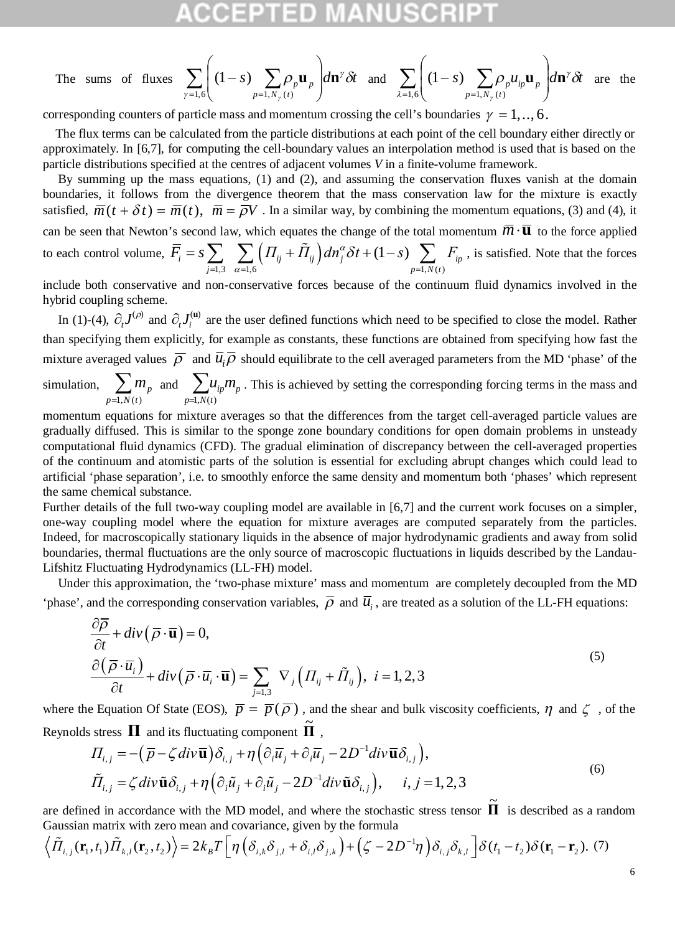The sums of fluxes 
$$
\sum_{\gamma=1,6} \left( (1-s) \sum_{p=1, N_{\gamma}(t)} \rho_p \mathbf{u}_p \right) d\mathbf{n}^{\gamma} \delta t \text{ and } \sum_{\lambda=1,6} \left( (1-s) \sum_{p=1, N_{\gamma}(t)} \rho_p \mathbf{u}_p \right) d\mathbf{n}^{\gamma} \delta t \text{ are the}
$$

corresponding counters of particle mass and momentum crossing the cell's boundaries  $\gamma = 1, \ldots, 6$ .

The flux terms can be calculated from the particle distributions at each point of the cell boundary either directly or approximately. In [6,7], for computing the cell-boundary values an interpolation method is used that is based on the particle distributions specified at the centres of adjacent volumes *V* in a finite-volume framework.

By summing up the mass equations, (1) and (2), and assuming the conservation fluxes vanish at the domain boundaries, it follows from the divergence theorem that the mass conservation law for the mixture is exactly satisfied,  $\overline{m}(t + \delta t) = \overline{m}(t)$ ,  $\overline{m} = \overline{\rho}V$ . In a similar way, by combining the momentum equations, (3) and (4), it can be seen that Newton's second law, which equates the change of the total momentum  $\overline{m} \cdot \overline{u}$  to the force applied to each control volume,  $F_i = s \sum \sum_i (H_{ij} + H_{ij})$ 1,3  $\alpha = 1, 6$   $p=1, N(t)$  $\sum_{i} s \sum_{i} \sum_{j} \left( \prod_{ij} + \Pi_{ij} \right) dn_{j}^{\alpha} \delta t + (1 - s) \sum_{i} F_{ip}$  $j=1,3 \quad \alpha=1,6$   $p=1,N(t)$  $F_i = s \sum_{i} \sum_{j} \left( \prod_{ji} + \prod_{ji} \right) dn_i^{\alpha} \delta t + (1-s) \sum_{j} F_{ij}$ α δ  $= s \sum_{j=1,3} \sum_{\alpha=1,6} \left( \prod_{ij} + \tilde{\Pi}_{ij} \right) dn_j^{\alpha} \delta t + (1-s) \sum_{p=1,N(t)} F_{ip}$ , is satisfied. Note that the forces

include both conservative and non-conservative forces because of the continuum fluid dynamics involved in the hybrid coupling scheme.

In (1)-(4),  $\partial_t J^{(\rho)}$  and  $\partial_t J_i^{(\mathbf{u})}$  are the user defined functions which need to be specified to close the model. Rather than specifying them explicitly, for example as constants, these functions are obtained from specifying how fast the mixture averaged values  $\overline{\rho}$  and  $\overline{u}_i\overline{\rho}$  should equilibrate to the cell averaged parameters from the MD 'phase' of the

simulation,  $\sum_{p=1, N(t)} m$  $m_p$  and  $\sum_{p=1, N(t)} u$  $u_{ip}m_p$ . This is achieved by setting the corresponding forcing terms in the mass and

momentum equations for mixture averages so that the differences from the target cell-averaged particle values are gradually diffused. This is similar to the sponge zone boundary conditions for open domain problems in unsteady computational fluid dynamics (CFD). The gradual elimination of discrepancy between the cell-averaged properties of the continuum and atomistic parts of the solution is essential for excluding abrupt changes which could lead to artificial 'phase separation', i.e. to smoothly enforce the same density and momentum both 'phases' which represent the same chemical substance.

Further details of the full two-way coupling model are available in [6,7] and the current work focuses on a simpler, one-way coupling model where the equation for mixture averages are computed separately from the particles. Indeed, for macroscopically stationary liquids in the absence of major hydrodynamic gradients and away from solid boundaries, thermal fluctuations are the only source of macroscopic fluctuations in liquids described by the Landau-Lifshitz Fluctuating Hydrodynamics (LL-FH) model.

Under this approximation, the 'two-phase mixture' mass and momentum are completely decoupled from the MD 'phase', and the corresponding conservation variables,  $\overline{\rho}$  and  $\overline{u}_i$ , are treated as a solution of the LL-FH equations:

$$
\frac{\partial \overline{\rho}}{\partial t} + div\left(\overline{\rho} \cdot \overline{\mathbf{u}}\right) = 0,\frac{\partial \left(\overline{\rho} \cdot \overline{u}_i\right)}{\partial t} + div\left(\overline{\rho} \cdot \overline{u}_i \cdot \overline{\mathbf{u}}\right) = \sum_{j=1,3} \nabla_j \left(\Pi_{ij} + \tilde{\Pi}_{ij}\right), \ i = 1,2,3
$$
\n(5)

where the Equation Of State (EOS),  $\overline{p} = \overline{p}(\overline{p})$ , and the shear and bulk viscosity coefficients,  $\eta$  and  $\zeta$ , of the Reynolds stress  $\Pi$  and its fluctuating component  $\widetilde{\Pi}$ ,

$$
\Pi_{i,j} = -(\overline{p} - \zeta \, div \overline{\mathbf{u}}) \delta_{i,j} + \eta \left( \partial_i \overline{u}_j + \partial_i \overline{u}_j - 2D^{-1} \, div \overline{\mathbf{u}} \delta_{i,j} \right),
$$
\n
$$
\widetilde{\Pi}_{i,j} = \zeta \, div \widetilde{\mathbf{u}} \delta_{i,j} + \eta \left( \partial_i \widetilde{u}_j + \partial_i \widetilde{u}_j - 2D^{-1} \, div \widetilde{\mathbf{u}} \delta_{i,j} \right), \quad i, j = 1, 2, 3
$$
\n
$$
(6)
$$

are defined in accordance with the MD model, and where the stochastic stress tensor  $\tilde{\mathbf{n}}$  is described as a random Gaussian matrix with zero mean and covariance, given by the formula

$$
\left\langle \tilde{\Pi}_{i,j}(\mathbf{r}_1,t_1)\tilde{\Pi}_{k,l}(\mathbf{r}_2,t_2) \right\rangle = 2k_B T \left[ \eta \left( \delta_{i,k} \delta_{j,l} + \delta_{i,l} \delta_{j,k} \right) + \left( \zeta - 2D^{-1} \eta \right) \delta_{i,j} \delta_{k,l} \right] \delta(t_1 - t_2) \delta(\mathbf{r}_1 - \mathbf{r}_2). \tag{7}
$$

6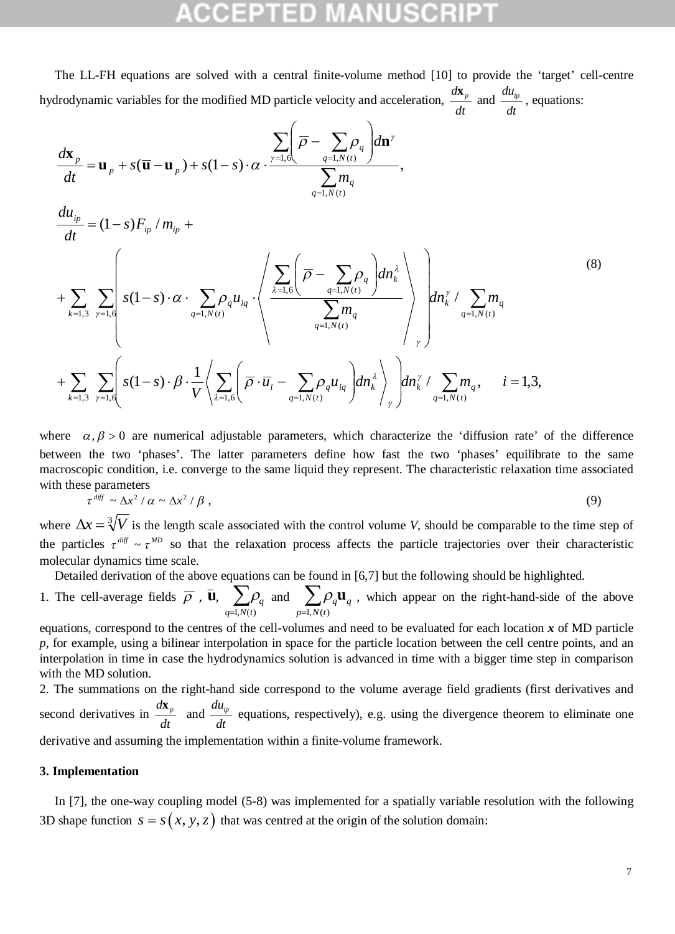The LL-FH equations are solved with a central finite-volume method [10] to provide the 'target' cell-centre hydrodynamic variables for the modified MD particle velocity and acceleration,  $\frac{dx_p}{dx_p}$ *dt*  $\frac{d\mathbf{x}_p}{dt}$  and  $\frac{du_p}{dt}$ , equations:

$$
\frac{d\mathbf{x}_p}{dt} = \mathbf{u}_p + s(\overline{\mathbf{u}} - \mathbf{u}_p) + s(1 - s) \cdot \alpha \cdot \frac{\sum_{\gamma=1,6}^{n} \left( \overline{\rho} - \sum_{q=1, N(t)} \rho_q \right) d\mathbf{n}^{\gamma}}{\sum_{q=1, N(t)}^{n} m_q},
$$
\n
$$
\frac{d u_{ip}}{dt} = (1 - s) F_{ip} / m_{ip} + \sqrt{\sum_{\lambda=1,6}^{n} \left( \overline{\rho} - \sum_{q=1, N(t)} \rho_q \right) d n_k^{\lambda}} \sqrt{\sum_{\lambda=1,6}^{n} \left( \overline{\rho} - \sum_{q=1, N(t)}^{n} \rho_q \right) d n_k^{\lambda}} \sqrt{\sum_{\lambda=1,6}^{n} \left( \overline{\rho} - \sum_{q=1, N(t)}^{n} \rho_q \right) d n_k^{\lambda}}.
$$

$$
+\sum_{k=1,3}\sum_{\gamma=1,6} s(1-s)\cdot \alpha \cdot \sum_{q=1,N(t)} \rho_q u_{iq} \cdot \left\langle \frac{\sum_{\lambda=1,6}^{N} \left(\frac{\rho-\sum_{q=1,N(t)}^{N} \rho_q}{q-1,N(t)}\right)^{dn_k}}{\sum_{q=1,N(t)}^{N} m_q} \right\rangle_{\gamma} d n_k^{\gamma} / \sum_{q=1,N(t)} m_q
$$
  
+ 
$$
\sum_{k=1,3}\sum_{\gamma=1,6} s(1-s)\cdot \beta \cdot \frac{1}{V} \left\langle \sum_{\lambda=1,6}^{N} \left(\frac{\rho}{\rho} \cdot \overline{u}_i - \sum_{q=1,N(t)} \rho_q u_{iq} \right)^{dn_k^{\gamma}} \right\rangle_{\gamma} d n_k^{\gamma} / \sum_{q=1,N(t)} m_q, \quad i=1,3,
$$

where  $\alpha$ ,  $\beta > 0$  are numerical adjustable parameters, which characterize the 'diffusion rate' of the difference between the two 'phases'. The latter parameters define how fast the two 'phases' equilibrate to the same macroscopic condition, i.e. converge to the same liquid they represent. The characteristic relaxation time associated with these parameters

$$
\tau^{\text{diff}} \sim \Delta x^2 / \alpha \sim \Delta x^2 / \beta \tag{9}
$$

where  $\Delta x = \sqrt[3]{V}$  is the length scale associated with the control volume *V*, should be comparable to the time step of the particles  $\tau^{diff} \sim \tau^{MD}$  so that the relaxation process affects the particle trajectories over their characteristic molecular dynamics time scale.

Detailed derivation of the above equations can be found in [6,7] but the following should be highlighted.

1. The cell-average fields  $\overline{\rho}$ ,  $\overline{\mathbf{u}}$ ,  $\sum_{q=1, N(t)} f$  $\rho_q$  and  $\sum_{p=1, N(t)} f$  $\rho_q \mathbf{u}_q$ , which appear on the right-hand-side of the above

equations, correspond to the centres of the cell-volumes and need to be evaluated for each location  $x$  of MD particle *p*, for example, using a bilinear interpolation in space for the particle location between the cell centre points, and an interpolation in time in case the hydrodynamics solution is advanced in time with a bigger time step in comparison with the MD solution.

2. The summations on the right-hand side correspond to the volume average field gradients (first derivatives and second derivatives in  $\frac{d\mathbf{x}_p}{dt}$ *dt*  $\frac{\mathbf{x}_p}{dt}$  and  $\frac{du_p}{dt}$  equations, respectively), e.g. using the divergence theorem to eliminate one derivative and assuming the implementation within a finite-volume framework.

#### **3. Implementation**

In [7], the one-way coupling model (5-8) was implemented for a spatially variable resolution with the following 3D shape function  $s = s(x, y, z)$  that was centred at the origin of the solution domain:

(8)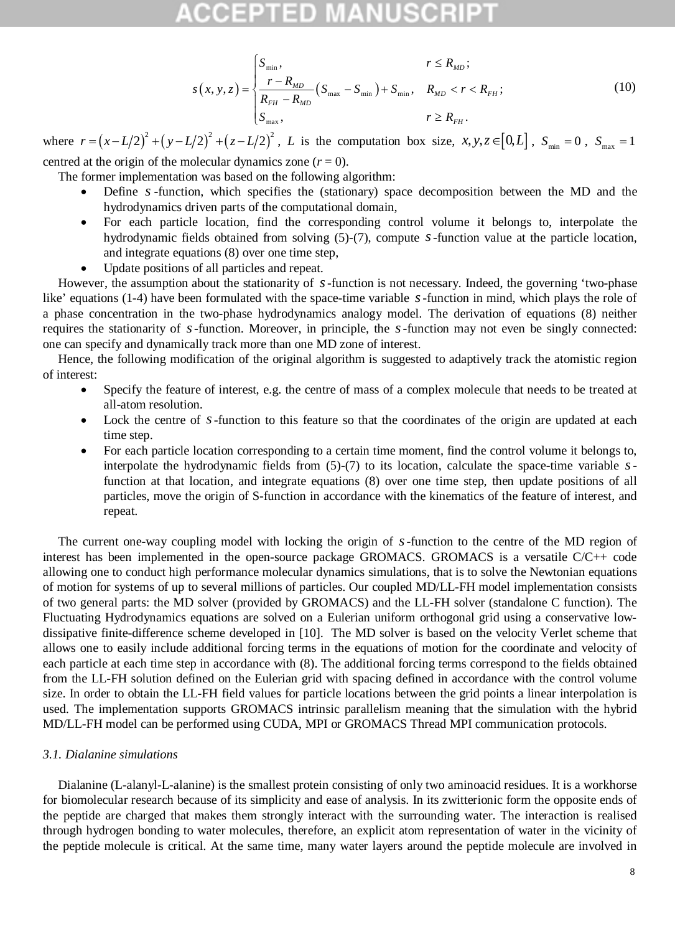## **CCEPTED MANUSCR**I

$$
s(x, y, z) = \begin{cases} S_{\min}, & r \le R_{MD}; \\ \frac{r - R_{MD}}{R_{FH} - R_{MD}} (S_{\max} - S_{\min}) + S_{\min}, & R_{MD} < r < R_{FH}; \\ S_{\max}, & r \ge R_{FH}. \end{cases}
$$
(10)

where  $r = (x - L/2)^2 + (y - L/2)^2 + (z - L/2)^2$ , *L* is the computation box size, *x*, *y*, *z*  $\in [0, L]$ , *S*<sub>min</sub> = 0, *S*<sub>max</sub> = 1 centred at the origin of the molecular dynamics zone  $(r = 0)$ .

The former implementation was based on the following algorithm:

- Define *s* -function, which specifies the (stationary) space decomposition between the MD and the hydrodynamics driven parts of the computational domain,
- For each particle location, find the corresponding control volume it belongs to, interpolate the hydrodynamic fields obtained from solving (5)-(7), compute *s*-function value at the particle location, and integrate equations (8) over one time step,
- Update positions of all particles and repeat.

However, the assumption about the stationarity of *s*-function is not necessary. Indeed, the governing 'two-phase like' equations (1-4) have been formulated with the space-time variable *s*-function in mind, which plays the role of a phase concentration in the two-phase hydrodynamics analogy model. The derivation of equations (8) neither requires the stationarity of *s*-function. Moreover, in principle, the *s*-function may not even be singly connected: one can specify and dynamically track more than one MD zone of interest.

Hence, the following modification of the original algorithm is suggested to adaptively track the atomistic region of interest:

- Specify the feature of interest, e.g. the centre of mass of a complex molecule that needs to be treated at all-atom resolution.
- Lock the centre of *s*-function to this feature so that the coordinates of the origin are updated at each time step.
- For each particle location corresponding to a certain time moment, find the control volume it belongs to, interpolate the hydrodynamic fields from (5)-(7) to its location, calculate the space-time variable *s*function at that location, and integrate equations (8) over one time step, then update positions of all particles, move the origin of S-function in accordance with the kinematics of the feature of interest, and repeat.

The current one-way coupling model with locking the origin of *s*-function to the centre of the MD region of interest has been implemented in the open-source package GROMACS. GROMACS is a versatile C/C++ code allowing one to conduct high performance molecular dynamics simulations, that is to solve the Newtonian equations of motion for systems of up to several millions of particles. Our coupled MD/LL-FH model implementation consists of two general parts: the MD solver (provided by GROMACS) and the LL-FH solver (standalone C function). The Fluctuating Hydrodynamics equations are solved on a Eulerian uniform orthogonal grid using a conservative lowdissipative finite-difference scheme developed in [10]. The MD solver is based on the velocity Verlet scheme that allows one to easily include additional forcing terms in the equations of motion for the coordinate and velocity of each particle at each time step in accordance with (8). The additional forcing terms correspond to the fields obtained from the LL-FH solution defined on the Eulerian grid with spacing defined in accordance with the control volume size. In order to obtain the LL-FH field values for particle locations between the grid points a linear interpolation is used. The implementation supports GROMACS intrinsic parallelism meaning that the simulation with the hybrid MD/LL-FH model can be performed using CUDA, MPI or GROMACS Thread MPI communication protocols.

### *3.1. Dialanine simulations*

Dialanine (L-alanyl-L-alanine) is the smallest protein consisting of only two aminoacid residues. It is a workhorse for biomolecular research because of its simplicity and ease of analysis. In its zwitterionic form the opposite ends of the peptide are charged that makes them strongly interact with the surrounding water. The interaction is realised through hydrogen bonding to water molecules, therefore, an explicit atom representation of water in the vicinity of the peptide molecule is critical. At the same time, many water layers around the peptide molecule are involved in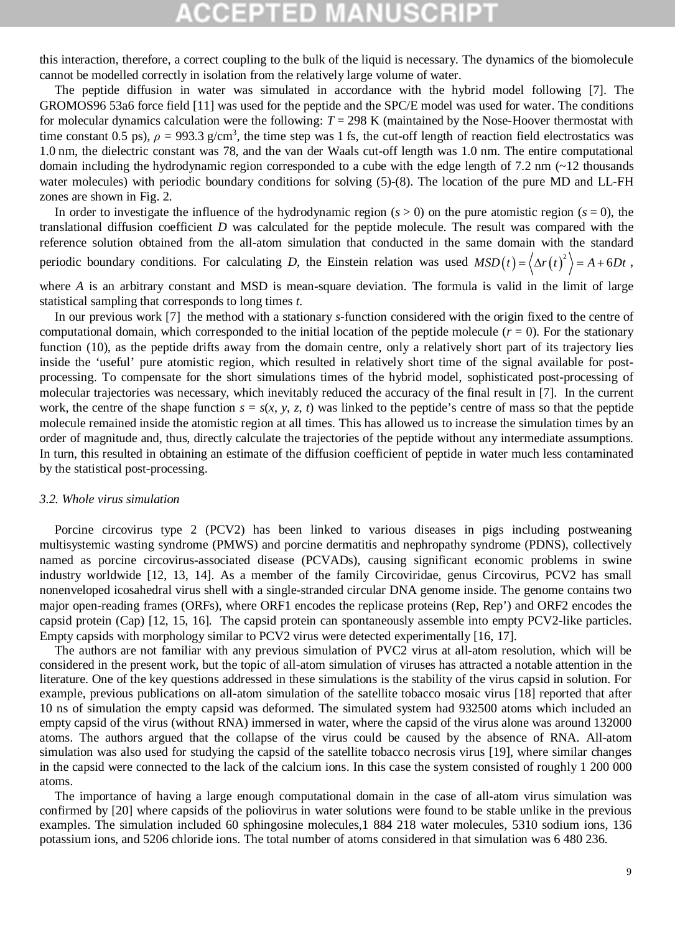## **CCEPTED MANUSCRI**

this interaction, therefore, a correct coupling to the bulk of the liquid is necessary. The dynamics of the biomolecule cannot be modelled correctly in isolation from the relatively large volume of water.

The peptide diffusion in water was simulated in accordance with the hybrid model following [7]. The GROMOS96 53a6 force field [11] was used for the peptide and the SPC/E model was used for water. The conditions for molecular dynamics calculation were the following:  $T = 298$  K (maintained by the Nose-Hoover thermostat with time constant 0.5 ps),  $\rho = 993.3$  g/cm<sup>3</sup>, the time step was 1 fs, the cut-off length of reaction field electrostatics was 1.0 nm, the dielectric constant was 78, and the van der Waals cut-off length was 1.0 nm. The entire computational domain including the hydrodynamic region corresponded to a cube with the edge length of 7.2 nm (~12 thousands water molecules) with periodic boundary conditions for solving  $(5)-(8)$ . The location of the pure MD and LL-FH zones are shown in Fig. 2.

In order to investigate the influence of the hydrodynamic region  $(s > 0)$  on the pure atomistic region  $(s = 0)$ , the translational diffusion coefficient *D* was calculated for the peptide molecule. The result was compared with the reference solution obtained from the all-atom simulation that conducted in the same domain with the standard periodic boundary conditions. For calculating *D*, the Einstein relation was used  $MSD(t) = (\Delta r(t)^2) = A + 6Dt$ ,

where *A* is an arbitrary constant and MSD is mean-square deviation. The formula is valid in the limit of large statistical sampling that corresponds to long times *t*.

In our previous work [7] the method with a stationary *s*-function considered with the origin fixed to the centre of computational domain, which corresponded to the initial location of the peptide molecule  $(r = 0)$ . For the stationary function (10), as the peptide drifts away from the domain centre, only a relatively short part of its trajectory lies inside the 'useful' pure atomistic region, which resulted in relatively short time of the signal available for postprocessing. To compensate for the short simulations times of the hybrid model, sophisticated post-processing of molecular trajectories was necessary, which inevitably reduced the accuracy of the final result in [7]. In the current work, the centre of the shape function  $s = s(x, y, z, t)$  was linked to the peptide's centre of mass so that the peptide molecule remained inside the atomistic region at all times. This has allowed us to increase the simulation times by an order of magnitude and, thus, directly calculate the trajectories of the peptide without any intermediate assumptions. In turn, this resulted in obtaining an estimate of the diffusion coefficient of peptide in water much less contaminated by the statistical post-processing.

#### *3.2. Whole virus simulation*

Porcine circovirus type 2 (PCV2) has been linked to various diseases in pigs including postweaning multisystemic wasting syndrome (PMWS) and porcine dermatitis and nephropathy syndrome (PDNS), collectively named as porcine circovirus-associated disease (PCVADs), causing significant economic problems in swine industry worldwide [12, 13, 14]. As a member of the family Circoviridae, genus Circovirus, PCV2 has small nonenveloped icosahedral virus shell with a single-stranded circular DNA genome inside. The genome contains two major open-reading frames (ORFs), where ORF1 encodes the replicase proteins (Rep, Rep') and ORF2 encodes the capsid protein (Cap) [12, 15, 16]*.* The capsid protein can spontaneously assemble into empty PCV2-like particles. Empty capsids with morphology similar to PCV2 virus were detected experimentally [16, 17].

The authors are not familiar with any previous simulation of PVC2 virus at all-atom resolution, which will be considered in the present work, but the topic of all-atom simulation of viruses has attracted a notable attention in the literature. One of the key questions addressed in these simulations is the stability of the virus capsid in solution. For example, previous publications on all-atom simulation of the satellite tobacco mosaic virus [18] reported that after 10 ns of simulation the empty capsid was deformed. The simulated system had 932500 atoms which included an empty capsid of the virus (without RNA) immersed in water, where the capsid of the virus alone was around 132000 atoms. The authors argued that the collapse of the virus could be caused by the absence of RNA. All-atom simulation was also used for studying the capsid of the satellite tobacco necrosis virus [19], where similar changes in the capsid were connected to the lack of the calcium ions. In this case the system consisted of roughly 1 200 000 atoms.

The importance of having a large enough computational domain in the case of all-atom virus simulation was confirmed by [20] where capsids of the poliovirus in water solutions were found to be stable unlike in the previous examples. The simulation included 60 sphingosine molecules,1 884 218 water molecules, 5310 sodium ions, 136 potassium ions, and 5206 chloride ions. The total number of atoms considered in that simulation was 6 480 236.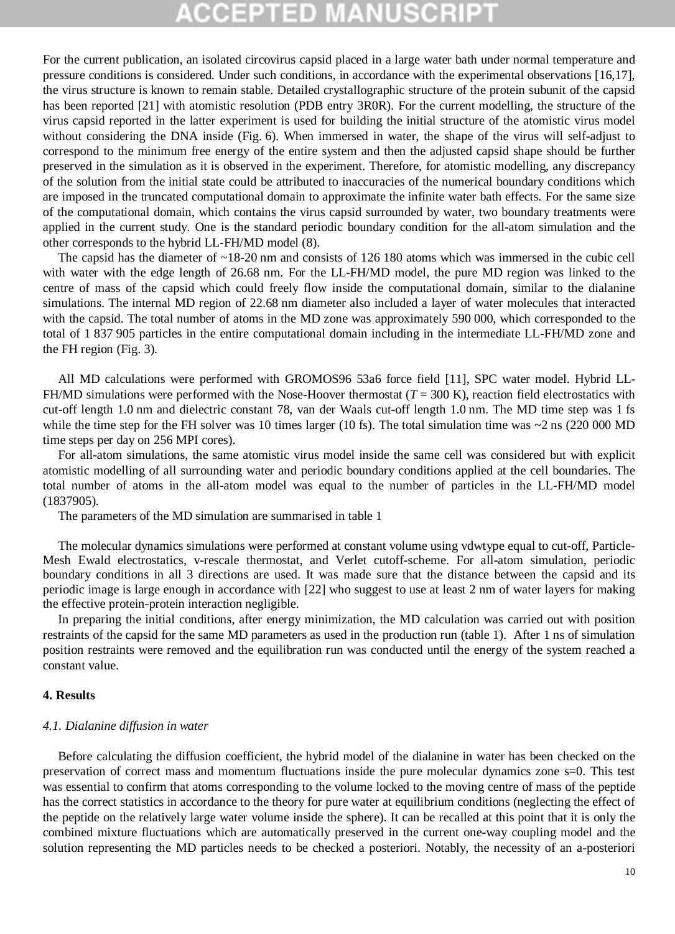## **CCEPTED MANUSCRIP**

For the current publication, an isolated circovirus capsid placed in a large water bath under normal temperature and pressure conditions is considered. Under such conditions, in accordance with the experimental observations [16,17], the virus structure is known to remain stable. Detailed crystallographic structure of the protein subunit of the capsid has been reported [21] with atomistic resolution (PDB entry 3R0R). For the current modelling, the structure of the virus capsid reported in the latter experiment is used for building the initial structure of the atomistic virus model without considering the DNA inside (Fig. 6). When immersed in water, the shape of the virus will self-adjust to correspond to the minimum free energy of the entire system and then the adjusted capsid shape should be further preserved in the simulation as it is observed in the experiment. Therefore, for atomistic modelling, any discrepancy of the solution from the initial state could be attributed to inaccuracies of the numerical boundary conditions which are imposed in the truncated computational domain to approximate the infinite water bath effects. For the same size of the computational domain, which contains the virus capsid surrounded by water, two boundary treatments were applied in the current study. One is the standard periodic boundary condition for the all-atom simulation and the other corresponds to the hybrid LL-FH/MD model (8).

The capsid has the diameter of ~18-20 nm and consists of 126 180 atoms which was immersed in the cubic cell with water with the edge length of 26.68 nm. For the LL-FH/MD model, the pure MD region was linked to the centre of mass of the capsid which could freely flow inside the computational domain, similar to the dialanine simulations. The internal MD region of 22.68 nm diameter also included a layer of water molecules that interacted with the capsid. The total number of atoms in the MD zone was approximately 590 000, which corresponded to the total of 1 837 905 particles in the entire computational domain including in the intermediate LL-FH/MD zone and the FH region (Fig. 3).

All MD calculations were performed with GROMOS96 53a6 force field [11], SPC water model. Hybrid LL-FH/MD simulations were performed with the Nose-Hoover thermostat  $(T = 300 \text{ K})$ , reaction field electrostatics with cut-off length 1.0 nm and dielectric constant 78, van der Waals cut-off length 1.0 nm. The MD time step was 1 fs while the time step for the FH solver was 10 times larger (10 fs). The total simulation time was  $\sim$ 2 ns (220 000 MD time steps per day on 256 MPI cores).

For all-atom simulations, the same atomistic virus model inside the same cell was considered but with explicit atomistic modelling of all surrounding water and periodic boundary conditions applied at the cell boundaries. The total number of atoms in the all-atom model was equal to the number of particles in the LL-FH/MD model (1837905).

The parameters of the MD simulation are summarised in table 1

The molecular dynamics simulations were performed at constant volume using vdwtype equal to cut-off, Particle-Mesh Ewald electrostatics, v-rescale thermostat, and Verlet cutoff-scheme. For all-atom simulation, periodic boundary conditions in all 3 directions are used. It was made sure that the distance between the capsid and its periodic image is large enough in accordance with [22] who suggest to use at least 2 nm of water layers for making the effective protein-protein interaction negligible.

In preparing the initial conditions, after energy minimization, the MD calculation was carried out with position restraints of the capsid for the same MD parameters as used in the production run (table 1). After 1 ns of simulation position restraints were removed and the equilibration run was conducted until the energy of the system reached a constant value.

#### **4. Results**

### *4.1. Dialanine diffusion in water*

Before calculating the diffusion coefficient, the hybrid model of the dialanine in water has been checked on the preservation of correct mass and momentum fluctuations inside the pure molecular dynamics zone s=0. This test was essential to confirm that atoms corresponding to the volume locked to the moving centre of mass of the peptide has the correct statistics in accordance to the theory for pure water at equilibrium conditions (neglecting the effect of the peptide on the relatively large water volume inside the sphere). It can be recalled at this point that it is only the combined mixture fluctuations which are automatically preserved in the current one-way coupling model and the solution representing the MD particles needs to be checked a posteriori. Notably, the necessity of an a-posteriori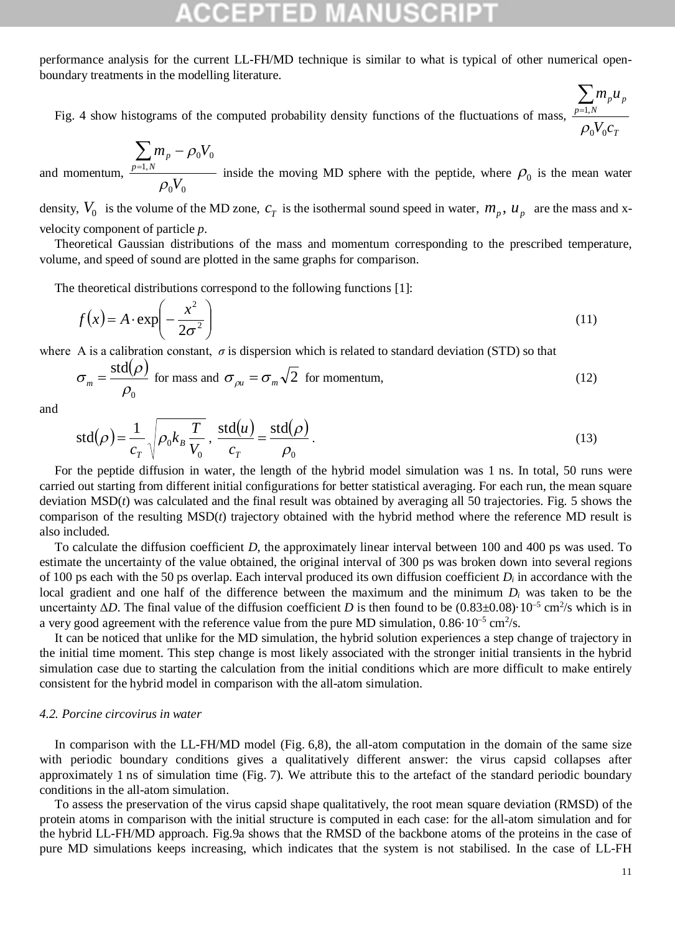performance analysis for the current LL-FH/MD technique is similar to what is typical of other numerical openboundary treatments in the modelling literature.

Fig. 4 show histograms of the computed probability density functions of the fluctuations of mass, *p N* 1,  $\sum_{\scriptscriptstyle i=1, I}$ 

and momentum, 
$$
\frac{\sum_{p=1,N} m_p - \rho_0 V_0}{\rho_0 V_0}
$$
 inside the moving MD sphere with the peptide, where  $\rho_0$  is the mean water

density,  $V_0$  is the volume of the MD zone,  $c_T$  is the isothermal sound speed in water,  $m_p$ ,  $u_p$  are the mass and xvelocity component of particle *p*.

Theoretical Gaussian distributions of the mass and momentum corresponding to the prescribed temperature, volume, and speed of sound are plotted in the same graphs for comparison.

The theoretical distributions correspond to the following functions [1]:

$$
f(x) = A \cdot \exp\left(-\frac{x^2}{2\sigma^2}\right) \tag{11}
$$

where A is a calibration constant,  $\sigma$  is dispersion which is related to standard deviation (STD) so that

$$
\sigma_m = \frac{\text{std}(\rho)}{\rho_0} \text{ for mass and } \sigma_{\rho u} = \sigma_m \sqrt{2} \text{ for momentum,}
$$
\n(12)

and

$$
\text{std}(\rho) = \frac{1}{c_T} \sqrt{\rho_0 k_B \frac{T}{V_0}}, \frac{\text{std}(u)}{c_T} = \frac{\text{std}(\rho)}{\rho_0}.
$$
\n(13)

For the peptide diffusion in water, the length of the hybrid model simulation was 1 ns. In total, 50 runs were carried out starting from different initial configurations for better statistical averaging. For each run, the mean square deviation  $MSD(t)$  was calculated and the final result was obtained by averaging all 50 trajectories. Fig. 5 shows the comparison of the resulting MSD(*t*) trajectory obtained with the hybrid method where the reference MD result is also included.

To calculate the diffusion coefficient *D*, the approximately linear interval between 100 and 400 ps was used. To estimate the uncertainty of the value obtained, the original interval of 300 ps was broken down into several regions of 100 ps each with the 50 ps overlap. Each interval produced its own diffusion coefficient  $D_i$  in accordance with the local gradient and one half of the difference between the maximum and the minimum  $D_i$  was taken to be the uncertainty  $\Delta D$ . The final value of the diffusion coefficient *D* is then found to be  $(0.83 \pm 0.08) \cdot 10^{-5}$  cm<sup>2</sup>/s which is in a very good agreement with the reference value from the pure MD simulation,  $0.86 \cdot 10^{-5}$  cm<sup>2</sup>/s.

It can be noticed that unlike for the MD simulation, the hybrid solution experiences a step change of trajectory in the initial time moment. This step change is most likely associated with the stronger initial transients in the hybrid simulation case due to starting the calculation from the initial conditions which are more difficult to make entirely consistent for the hybrid model in comparison with the all-atom simulation.

#### *4.2. Porcine circovirus in water*

In comparison with the LL-FH/MD model (Fig. 6,8), the all-atom computation in the domain of the same size with periodic boundary conditions gives a qualitatively different answer: the virus capsid collapses after approximately 1 ns of simulation time (Fig. 7). We attribute this to the artefact of the standard periodic boundary conditions in the all-atom simulation.

To assess the preservation of the virus capsid shape qualitatively, the root mean square deviation (RMSD) of the protein atoms in comparison with the initial structure is computed in each case: for the all-atom simulation and for the hybrid LL-FH/MD approach. Fig.9a shows that the RMSD of the backbone atoms of the proteins in the case of pure MD simulations keeps increasing, which indicates that the system is not stabilised. In the case of LL-FH

*T*

 $V_0 c$ 

 $0^{\mathbf{v}}$  0

 $\rho$ 

*p p*

 $m_{p}$ *u*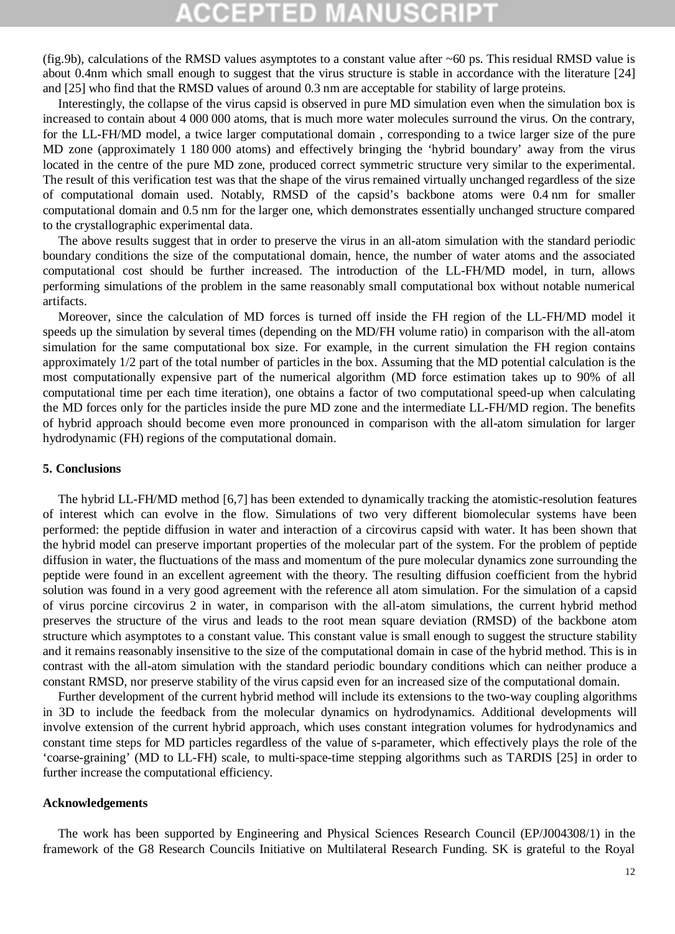## **CCEPTED MANUSCRIF**

(fig.9b), calculations of the RMSD values asymptotes to a constant value after  $~60$  ps. This residual RMSD value is about 0.4nm which small enough to suggest that the virus structure is stable in accordance with the literature [24] and [25] who find that the RMSD values of around 0.3 nm are acceptable for stability of large proteins.

Interestingly, the collapse of the virus capsid is observed in pure MD simulation even when the simulation box is increased to contain about 4 000 000 atoms, that is much more water molecules surround the virus. On the contrary, for the LL-FH/MD model, a twice larger computational domain , corresponding to a twice larger size of the pure MD zone (approximately 1 180 000 atoms) and effectively bringing the 'hybrid boundary' away from the virus located in the centre of the pure MD zone, produced correct symmetric structure very similar to the experimental. The result of this verification test was that the shape of the virus remained virtually unchanged regardless of the size of computational domain used. Notably, RMSD of the capsid's backbone atoms were 0.4 nm for smaller computational domain and 0.5 nm for the larger one, which demonstrates essentially unchanged structure compared to the crystallographic experimental data.

The above results suggest that in order to preserve the virus in an all-atom simulation with the standard periodic boundary conditions the size of the computational domain, hence, the number of water atoms and the associated computational cost should be further increased. The introduction of the LL-FH/MD model, in turn, allows performing simulations of the problem in the same reasonably small computational box without notable numerical artifacts.

Moreover, since the calculation of MD forces is turned off inside the FH region of the LL-FH/MD model it speeds up the simulation by several times (depending on the MD/FH volume ratio) in comparison with the all-atom simulation for the same computational box size. For example, in the current simulation the FH region contains approximately 1/2 part of the total number of particles in the box. Assuming that the MD potential calculation is the most computationally expensive part of the numerical algorithm (MD force estimation takes up to 90% of all computational time per each time iteration), one obtains a factor of two computational speed-up when calculating the MD forces only for the particles inside the pure MD zone and the intermediate LL-FH/MD region. The benefits of hybrid approach should become even more pronounced in comparison with the all-atom simulation for larger hydrodynamic (FH) regions of the computational domain.

#### **5. Conclusions**

The hybrid LL-FH/MD method [6,7] has been extended to dynamically tracking the atomistic-resolution features of interest which can evolve in the flow. Simulations of two very different biomolecular systems have been performed: the peptide diffusion in water and interaction of a circovirus capsid with water. It has been shown that the hybrid model can preserve important properties of the molecular part of the system. For the problem of peptide diffusion in water, the fluctuations of the mass and momentum of the pure molecular dynamics zone surrounding the peptide were found in an excellent agreement with the theory. The resulting diffusion coefficient from the hybrid solution was found in a very good agreement with the reference all atom simulation. For the simulation of a capsid of virus porcine circovirus 2 in water, in comparison with the all-atom simulations, the current hybrid method preserves the structure of the virus and leads to the root mean square deviation (RMSD) of the backbone atom structure which asymptotes to a constant value. This constant value is small enough to suggest the structure stability and it remains reasonably insensitive to the size of the computational domain in case of the hybrid method. This is in contrast with the all-atom simulation with the standard periodic boundary conditions which can neither produce a constant RMSD, nor preserve stability of the virus capsid even for an increased size of the computational domain.

Further development of the current hybrid method will include its extensions to the two-way coupling algorithms in 3D to include the feedback from the molecular dynamics on hydrodynamics. Additional developments will involve extension of the current hybrid approach, which uses constant integration volumes for hydrodynamics and constant time steps for MD particles regardless of the value of s-parameter, which effectively plays the role of the 'coarse-graining' (MD to LL-FH) scale, to multi-space-time stepping algorithms such as TARDIS [25] in order to further increase the computational efficiency.

#### **Acknowledgements**

The work has been supported by Engineering and Physical Sciences Research Council (EP/J004308/1) in the framework of the G8 Research Councils Initiative on Multilateral Research Funding. SK is grateful to the Royal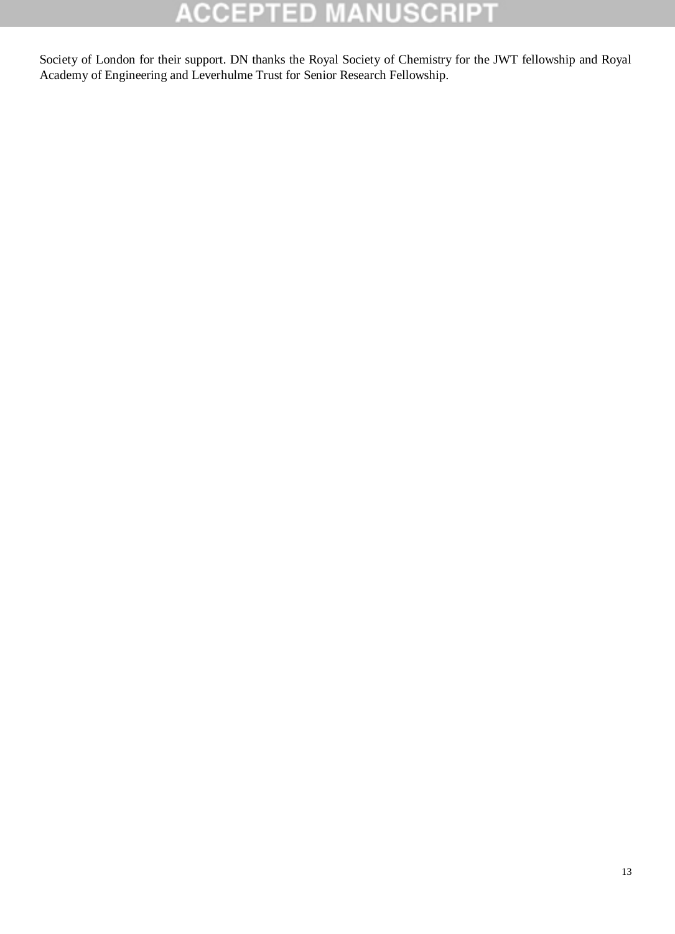#### M. **ANUSCRI** B ACC D B E Ξ

Society of London for their support. DN thanks the Royal Society of Chemistry for the JWT fellowship and Royal Academy of Engineering and Leverhulme Trust for Senior Research Fellowship.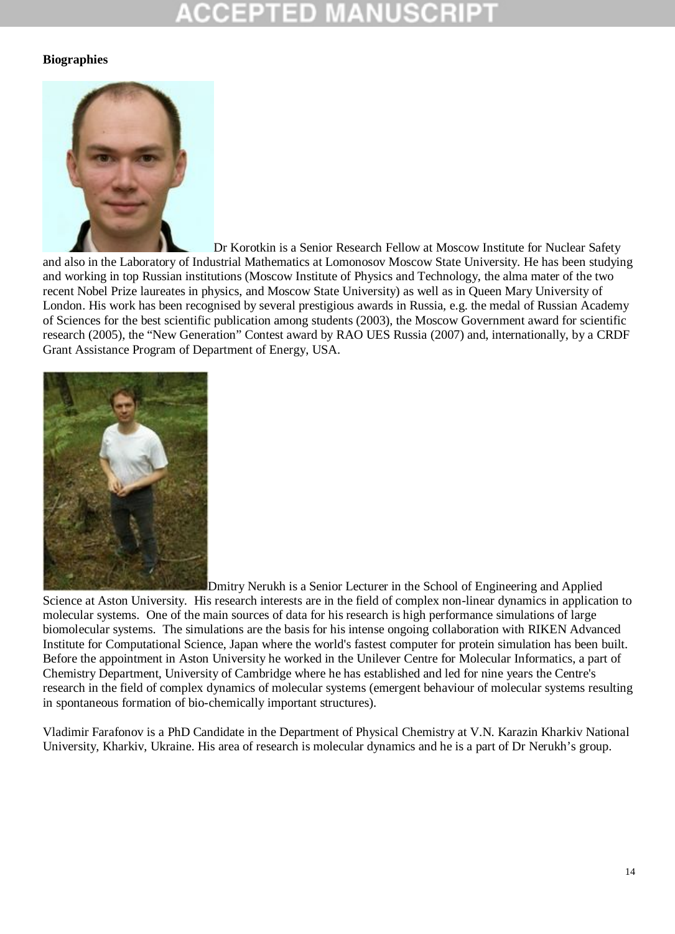### **Biographies**



Dr Korotkin is a Senior Research Fellow at Moscow Institute for Nuclear Safety and also in the Laboratory of Industrial Mathematics at Lomonosov Moscow State University. He has been studying and working in top Russian institutions (Moscow Institute of Physics and Technology, the alma mater of the two recent Nobel Prize laureates in physics, and Moscow State University) as well as in Queen Mary University of London. His work has been recognised by several prestigious awards in Russia, e.g. the medal of Russian Academy of Sciences for the best scientific publication among students (2003), the Moscow Government award for scientific research (2005), the "New Generation" Contest award by RAO UES Russia (2007) and, internationally, by a CRDF Grant Assistance Program of Department of Energy, USA.



Dmitry Nerukh is a Senior Lecturer in the School of Engineering and Applied

Science at Aston University. His research interests are in the field of complex non-linear dynamics in application to molecular systems. One of the main sources of data for his research is high performance simulations of large biomolecular systems. The simulations are the basis for his intense ongoing collaboration with RIKEN Advanced Institute for Computational Science, Japan where the world's fastest computer for protein simulation has been built. Before the appointment in Aston University he worked in the Unilever Centre for Molecular Informatics, a part of Chemistry Department, University of Cambridge where he has established and led for nine years the Centre's research in the field of complex dynamics of molecular systems (emergent behaviour of molecular systems resulting in spontaneous formation of bio-chemically important structures).

Vladimir Farafonov is a PhD Candidate in the Department of Physical Chemistry at V.N. Karazin Kharkiv National University, Kharkiv, Ukraine. His area of research is molecular dynamics and he is a part of Dr Nerukh's group.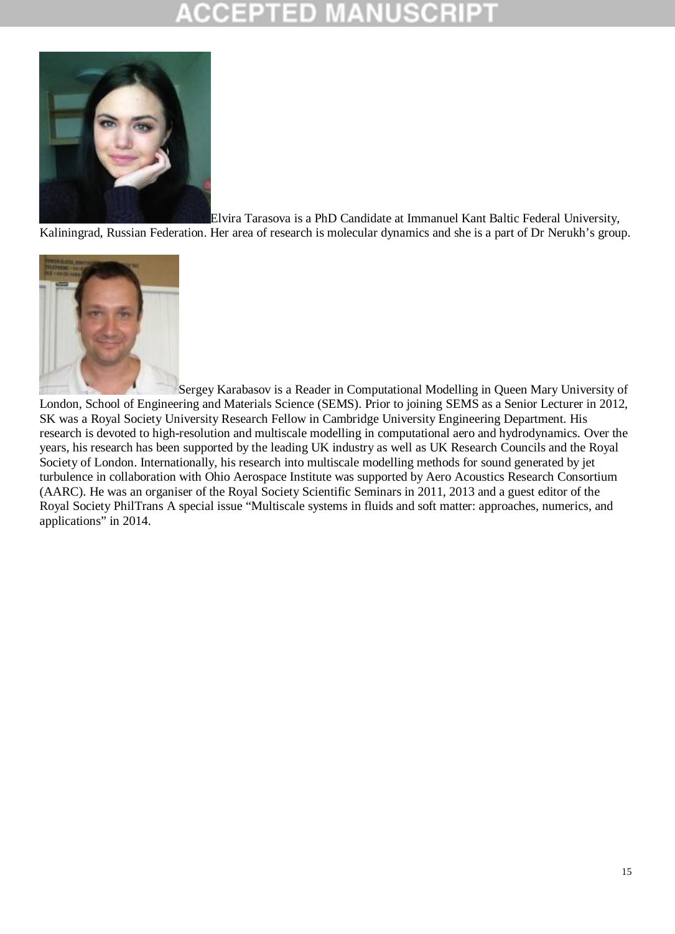

Elvira Tarasova is a PhD Candidate at Immanuel Kant Baltic Federal University, Kaliningrad, Russian Federation. Her area of research is molecular dynamics and she is a part of Dr Nerukh's group.



Sergey Karabasov is a Reader in Computational Modelling in Queen Mary University of London, School of Engineering and Materials Science (SEMS). Prior to joining SEMS as a Senior Lecturer in 2012, SK was a Royal Society University Research Fellow in Cambridge University Engineering Department. His research is devoted to high-resolution and multiscale modelling in computational aero and hydrodynamics. Over the years, his research has been supported by the leading UK industry as well as UK Research Councils and the Royal Society of London. Internationally, his research into multiscale modelling methods for sound generated by jet turbulence in collaboration with Ohio Aerospace Institute was supported by Aero Acoustics Research Consortium (AARC). He was an organiser of the Royal Society Scientific Seminars in 2011, 2013 and a guest editor of the Royal Society PhilTrans A special issue "Multiscale systems in fluids and soft matter: approaches, numerics, and applications" in 2014.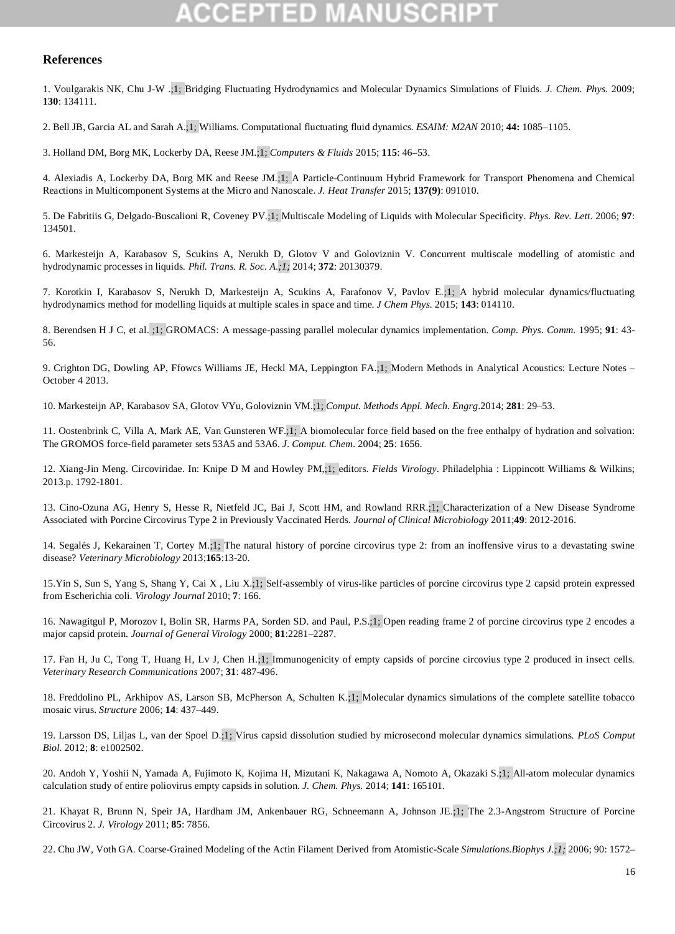## **CCEPTED MANUSCR**

### **References**

1. Voulgarakis NK, Chu J-W .;1; Bridging Fluctuating Hydrodynamics and Molecular Dynamics Simulations of Fluids. *J. Chem. Phys.* 2009; **130**: 134111.

2. Bell JB, Garcia AL and Sarah A.;1; Williams. Computational fluctuating fluid dynamics. *ESAIM: M2AN* 2010; **44:** 1085–1105.

3. Holland DM, Borg MK, Lockerby DA, Reese JM.;1; *Computers & Fluids* 2015; **115**: 46–53.

4. Alexiadis A, Lockerby DA, Borg MK and Reese JM.;1; A Particle-Continuum Hybrid Framework for Transport Phenomena and Chemical Reactions in Multicomponent Systems at the Micro and Nanoscale. *J. Heat Transfer* 2015; **137(9)**: 091010.

5. De Fabritiis G, Delgado-Buscalioni R, Coveney PV.;1; Multiscale Modeling of Liquids with Molecular Specificity. *Phys. Rev. Lett.* 2006; **97**: 134501.

6. Markesteijn A, Karabasov S, Scukins A, Nerukh D, Glotov V and Goloviznin V. Concurrent multiscale modelling of atomistic and hydrodynamic processes in liquids. *Phil. Trans. R. Soc. A.;1;* 2014; **372**: 20130379.

7. Korotkin I, Karabasov S, Nerukh D, Markesteijn A, Scukins A, Farafonov V, Pavlov E.;1; A hybrid molecular dynamics/fluctuating hydrodynamics method for modelling liquids at multiple scales in space and time. *J Chem Phys.* 2015; **143**: 014110.

8. Berendsen H J C, et al. ;1; GROMACS: A message-passing parallel molecular dynamics implementation. *Comp. Phys. Comm.* 1995; **91**: 43- 56.

9. Crighton DG, Dowling AP, Ffowcs Williams JE, Heckl MA, Leppington FA.;1; Modern Methods in Analytical Acoustics: Lecture Notes – October 4 2013.

10. Markesteijn AP, Karabasov SA, Glotov VYu, Goloviznin VM.;1; *Comput. Methods Appl. Mech. Engrg*.2014; **281**: 29–53.

11. Oostenbrink C, Villa A, Mark AE, Van Gunsteren WF.;1; A biomolecular force field based on the free enthalpy of hydration and solvation: The GROMOS force-field parameter sets 53A5 and 53A6. *J. Comput. Chem.* 2004; **25**: 1656.

12. Xiang-Jin Meng. Circoviridae. In: Knipe D M and Howley PM,;1; editors. *Fields Virology*. Philadelphia : Lippincott Williams & Wilkins; 2013.p. 1792-1801.

13. Cino-Ozuna AG, Henry S, Hesse R, Nietfeld JC, Bai J, Scott HM, and Rowland RRR.;1; Characterization of a New Disease Syndrome Associated with Porcine Circovirus Type 2 in Previously Vaccinated Herds. *Journal of Clinical Microbiology* 2011;**49**: 2012-2016.

14. Segalés J, Kekarainen T, Cortey M.;1; The natural history of porcine circovirus type 2: from an inoffensive virus to a devastating swine disease? *Veterinary Microbiology* 2013;**165**:13-20.

15.Yin S, Sun S, Yang S, Shang Y, Cai X , Liu X.;1; Self-assembly of virus-like particles of porcine circovirus type 2 capsid protein expressed from Escherichia coli. *Virology Journal* 2010; **7**: 166.

16. Nawagitgul P, Morozov I, Bolin SR, Harms PA, Sorden SD. and Paul, P.S.;1; Open reading frame 2 of porcine circovirus type 2 encodes a major capsid protein. *Journal of General Virology* 2000; **81**:2281–2287.

17. Fan H, Ju C, Tong T, Huang H, Lv J, Chen H.;1; Immunogenicity of empty capsids of porcine circovius type 2 produced in insect cells. *Veterinary Research Communications* 2007; **31**: 487-496.

18. Freddolino PL, Arkhipov AS, Larson SB, McPherson A, Schulten K.;1; Molecular dynamics simulations of the complete satellite tobacco mosaic virus. *Structure* 2006; **14**: 437–449.

19. Larsson DS, Liljas L, van der Spoel D.;1; Virus capsid dissolution studied by microsecond molecular dynamics simulations. *PLoS Comput Biol.* 2012; **8**: e1002502.

20. Andoh Y, Yoshii N, Yamada A, Fujimoto K, Kojima H, Mizutani K, Nakagawa A, Nomoto A, Okazaki S.;1; All-atom molecular dynamics calculation study of entire poliovirus empty capsids in solution. *J. Chem. Phys.* 2014; **141**: 165101.

21. Khayat R, Brunn N, Speir JA, Hardham JM, Ankenbauer RG, Schneemann A, Johnson JE.;1; The 2.3-Angstrom Structure of Porcine Circovirus 2. *J. Virology* 2011; **85**: 7856.

22. Chu JW, Voth GA. Coarse-Grained Modeling of the Actin Filament Derived from Atomistic-Scale *Simulations.Biophys J.;1;* 2006; 90: 1572–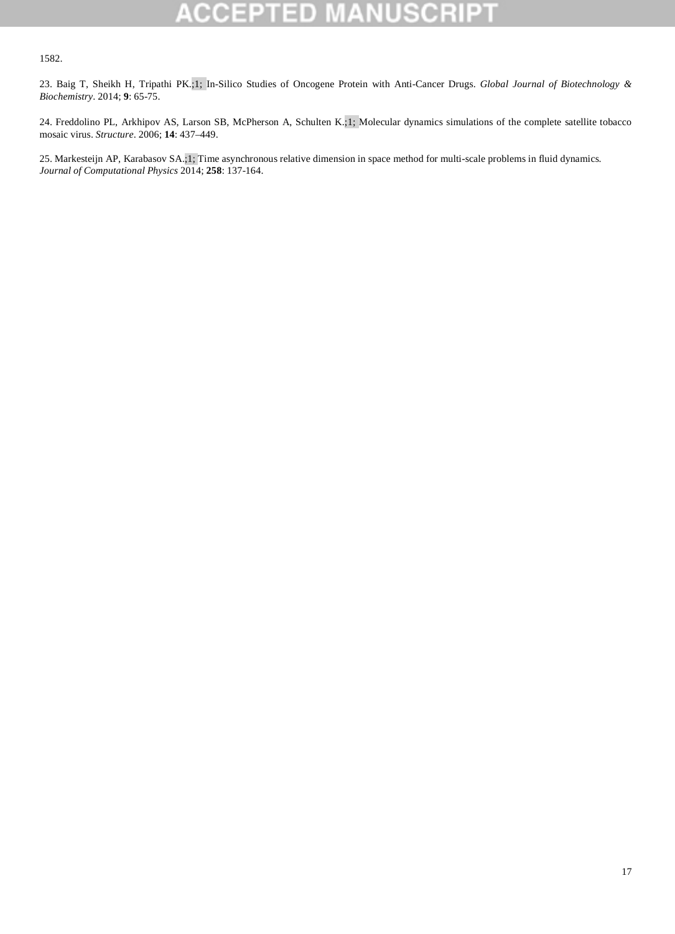#### 1582.

23. Baig T, Sheikh H, Tripathi PK.;1; In-Silico Studies of Oncogene Protein with Anti-Cancer Drugs. *Global Journal of Biotechnology & Biochemistry*. 2014; **9**: 65-75.

24. Freddolino PL, Arkhipov AS, Larson SB, McPherson A, Schulten K.;1; Molecular dynamics simulations of the complete satellite tobacco mosaic virus. *Structure*. 2006; **14**: 437–449.

25. Markesteijn AP, Karabasov SA.;1; Time asynchronous relative dimension in space method for multi-scale problems in fluid dynamics. *Journal of Computational Physics* 2014; **258**: 137-164.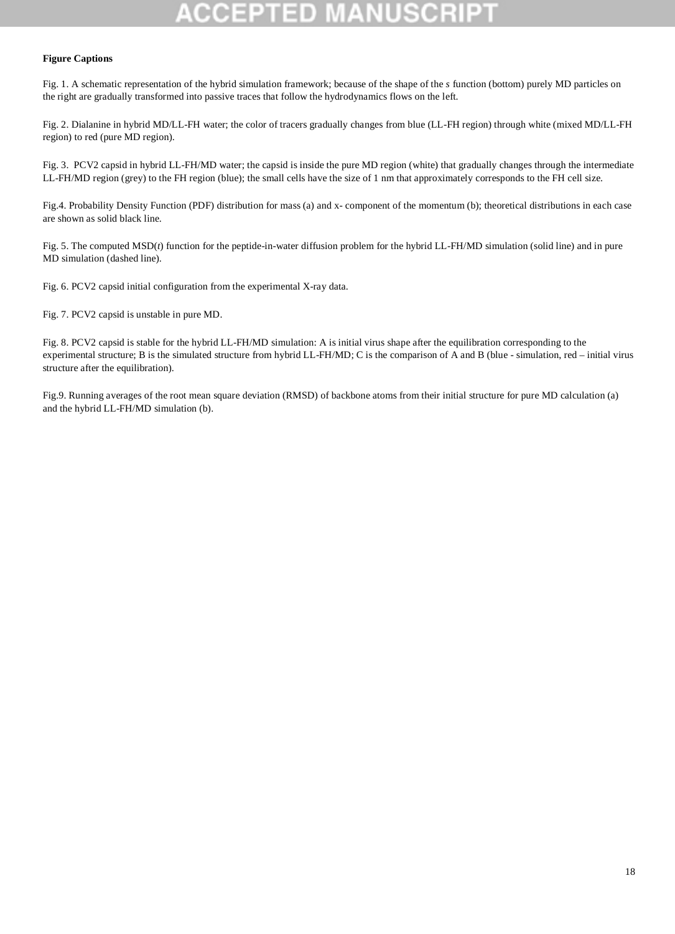#### **Figure Captions**

Fig. 1. A schematic representation of the hybrid simulation framework; because of the shape of the *s* function (bottom) purely MD particles on the right are gradually transformed into passive traces that follow the hydrodynamics flows on the left.

Fig. 2. Dialanine in hybrid MD/LL-FH water; the color of tracers gradually changes from blue (LL-FH region) through white (mixed MD/LL-FH region) to red (pure MD region).

Fig. 3. PCV2 capsid in hybrid LL-FH/MD water; the capsid is inside the pure MD region (white) that gradually changes through the intermediate LL-FH/MD region (grey) to the FH region (blue); the small cells have the size of 1 nm that approximately corresponds to the FH cell size.

Fig.4. Probability Density Function (PDF) distribution for mass (a) and x- component of the momentum (b); theoretical distributions in each case are shown as solid black line.

Fig. 5. The computed MSD(*t*) function for the peptide-in-water diffusion problem for the hybrid LL-FH/MD simulation (solid line) and in pure MD simulation (dashed line).

Fig. 6. PCV2 capsid initial configuration from the experimental X-ray data.

Fig. 7. PCV2 capsid is unstable in pure MD.

Fig. 8. PCV2 capsid is stable for the hybrid LL-FH/MD simulation: A is initial virus shape after the equilibration corresponding to the experimental structure; B is the simulated structure from hybrid LL-FH/MD; C is the comparison of A and B (blue - simulation, red – initial virus structure after the equilibration).

Fig.9. Running averages of the root mean square deviation (RMSD) of backbone atoms from their initial structure for pure MD calculation (a) and the hybrid LL-FH/MD simulation (b).